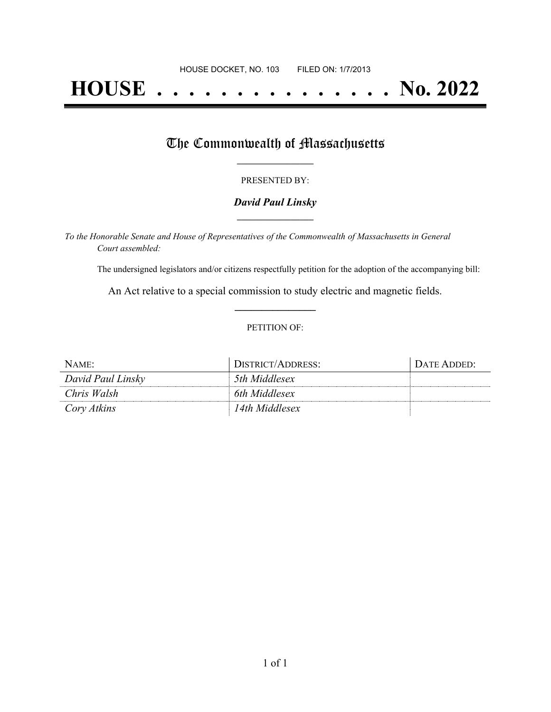# **HOUSE . . . . . . . . . . . . . . . No. 2022**

### The Commonwealth of Massachusetts

#### PRESENTED BY:

#### *David Paul Linsky* **\_\_\_\_\_\_\_\_\_\_\_\_\_\_\_\_\_**

*To the Honorable Senate and House of Representatives of the Commonwealth of Massachusetts in General Court assembled:*

The undersigned legislators and/or citizens respectfully petition for the adoption of the accompanying bill:

An Act relative to a special commission to study electric and magnetic fields. **\_\_\_\_\_\_\_\_\_\_\_\_\_\_\_**

#### PETITION OF:

| NAME:             | DISTRICT/ADDRESS: | DATE ADDED: |
|-------------------|-------------------|-------------|
| David Paul Linsky | 5th Middlesex     |             |
| Chris Walsh       | 6th Middlesex     |             |
| Cory Atkins       | 14th Middlesex    |             |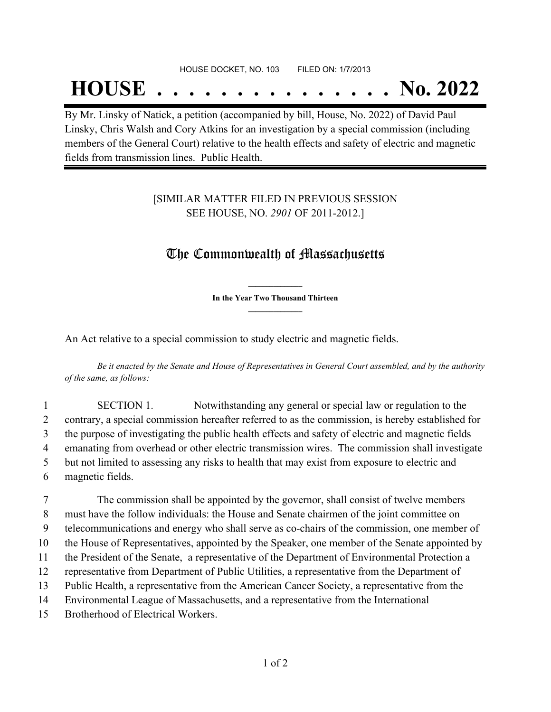#### HOUSE DOCKET, NO. 103 FILED ON: 1/7/2013

## **HOUSE . . . . . . . . . . . . . . . No. 2022**

By Mr. Linsky of Natick, a petition (accompanied by bill, House, No. 2022) of David Paul Linsky, Chris Walsh and Cory Atkins for an investigation by a special commission (including members of the General Court) relative to the health effects and safety of electric and magnetic fields from transmission lines. Public Health.

#### [SIMILAR MATTER FILED IN PREVIOUS SESSION SEE HOUSE, NO. *2901* OF 2011-2012.]

## The Commonwealth of Massachusetts

**\_\_\_\_\_\_\_\_\_\_\_\_\_\_\_ In the Year Two Thousand Thirteen \_\_\_\_\_\_\_\_\_\_\_\_\_\_\_**

An Act relative to a special commission to study electric and magnetic fields.

Be it enacted by the Senate and House of Representatives in General Court assembled, and by the authority *of the same, as follows:*

 SECTION 1. Notwithstanding any general or special law or regulation to the contrary, a special commission hereafter referred to as the commission, is hereby established for the purpose of investigating the public health effects and safety of electric and magnetic fields emanating from overhead or other electric transmission wires. The commission shall investigate but not limited to assessing any risks to health that may exist from exposure to electric and magnetic fields.

 The commission shall be appointed by the governor, shall consist of twelve members must have the follow individuals: the House and Senate chairmen of the joint committee on telecommunications and energy who shall serve as co-chairs of the commission, one member of the House of Representatives, appointed by the Speaker, one member of the Senate appointed by the President of the Senate, a representative of the Department of Environmental Protection a representative from Department of Public Utilities, a representative from the Department of Public Health, a representative from the American Cancer Society, a representative from the Environmental League of Massachusetts, and a representative from the International Brotherhood of Electrical Workers.